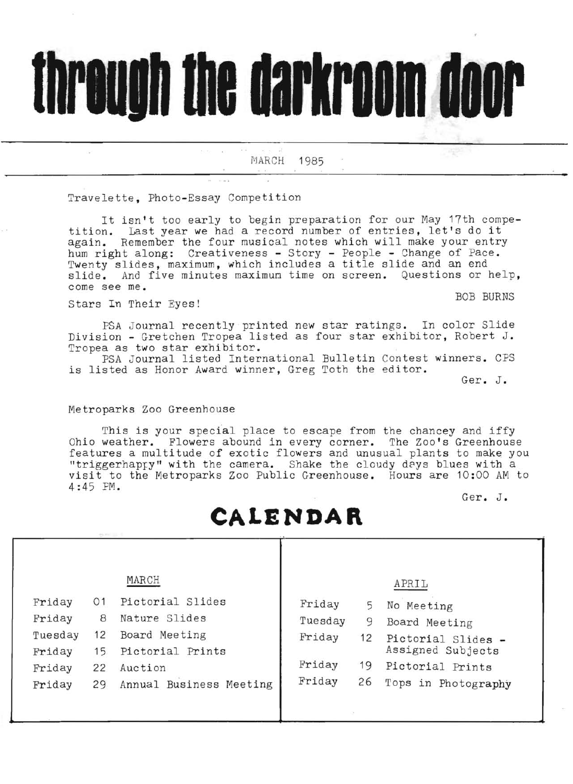# through the darkroom door

MARCH 1985

 $\label{eq:12} \varepsilon_{0,\mathcal{R}^{(1)}} = \varepsilon_0 \qquad \quad \overline{\mathcal{R}^{(2)}} = -\overline{\mathcal{R}}_{-N} - \overline{\mathcal{R}}$ 

Travelette, Photo-Essay Competition

It isn't too early to begin preparation for our May 17th compe-It isn't too early to begin preparation for our may find computition. Last year we had a record number of entries, let's do it again. Remember the four musical notes which will make your entry hum right along: Creativeness - Story - People - Change of Pace. Twenty slides, maximum, which includes a title slide and an end slide. And five minutes maximun time on screen. Questions or help, come see me.

Stars In Their Eyes! Stars In Their Eyes!

ó.

PSA Journal recently printed new star ratings. In color Slide Division - Gretchen Tropea listed as four star exhibitor, Robert **<sup>J</sup> .**  Tropea as two star exhibitor.

PSA Journal listed International Bulletin Contest winners. CPS is listed as Honor Award winner, Greg Toth the editor.

Ger. J.

## Metroparks Zoo Greenhouse

This is your special place to escape from the chancey and iffy Ohio weather. Flowers abound in every corner. The Zoo's Greenhouse features a multitude of exotic flowers and unusual plants to make you "triggerhappy" with the camera. Shake the cloudy deys blues with a visit to the Metroparks Zoo Public Greenhouse. Hours are 10:00 AM to 4:45 PM.

Ger. J.

# **CALENDAR**

T

|                                                                                              | MARCH                                                                                                        |                                                 |                                 | APRIL                                                                                                             |
|----------------------------------------------------------------------------------------------|--------------------------------------------------------------------------------------------------------------|-------------------------------------------------|---------------------------------|-------------------------------------------------------------------------------------------------------------------|
| Friday<br>01<br>Friday<br>8<br>Tuesday<br>12<br>Friday<br>15<br>Friday<br>22<br>Friday<br>29 | Pictorial Slides<br>Nature Slides<br>Board Meeting<br>Pictorial Prints<br>Auction<br>Annual Business Meeting | Friday<br>Tuesday<br>Friday<br>Friday<br>Friday | 5.<br>9<br>12<br>19<br>26<br>D. | No Meeting<br>Board Meeting<br>Pictorial Slides -<br>Assigned Subjects<br>Pictorial Prints<br>Tops in Photography |